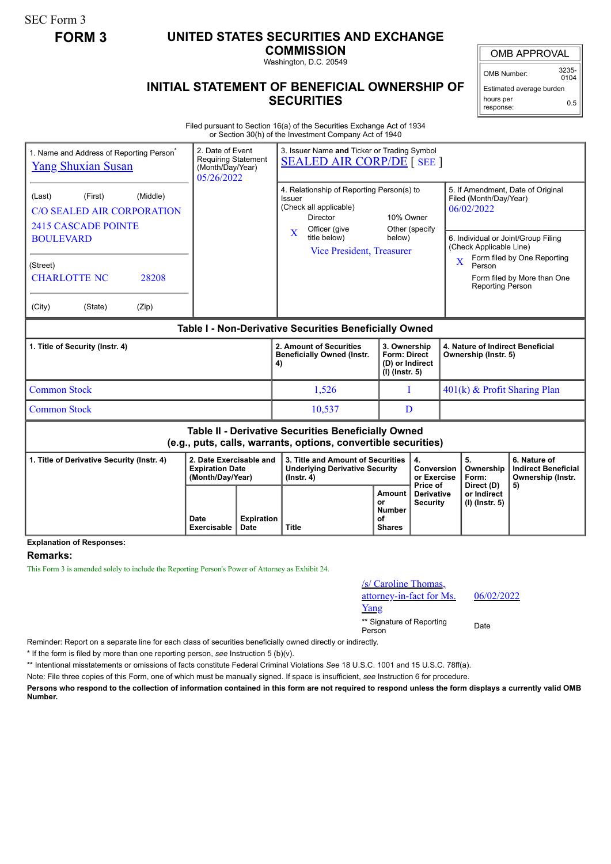SEC Form 3

## **FORM 3 UNITED STATES SECURITIES AND EXCHANGE**

**COMMISSION** Washington, D.C. 20549

OMB APPROVAL

OMB Number: 3235-  $0104$ 

Estimated average burden hours per response: 0.5

## **INITIAL STATEMENT OF BENEFICIAL OWNERSHIP OF SECURITIES**

Filed pursuant to Section 16(a) of the Securities Exchange Act of 1934 or Section 30(h) of the Investment Company Act of 1940

| 1. Name and Address of Reporting Person <sup>®</sup><br><b>Yang Shuxian Susan</b>                                            |                                                                       | 3. Issuer Name and Ticker or Trading Symbol<br>2. Date of Event<br><b>Requiring Statement</b><br><b>SEALED AIR CORP/DE [SEE ]</b><br>(Month/Day/Year)<br>05/26/2022 |                                                                                                                   |                                                                            |                                             |                                                                                                                                                                                                                 |                                                        |                                                                 |  |
|------------------------------------------------------------------------------------------------------------------------------|-----------------------------------------------------------------------|---------------------------------------------------------------------------------------------------------------------------------------------------------------------|-------------------------------------------------------------------------------------------------------------------|----------------------------------------------------------------------------|---------------------------------------------|-----------------------------------------------------------------------------------------------------------------------------------------------------------------------------------------------------------------|--------------------------------------------------------|-----------------------------------------------------------------|--|
| (Middle)<br>(First)<br>(Last)<br><b>C/O SEALED AIR CORPORATION</b><br><b>2415 CASCADE POINTE</b>                             |                                                                       |                                                                                                                                                                     | 4. Relationship of Reporting Person(s) to<br>Issuer<br>(Check all applicable)<br><b>Director</b><br>Officer (give | 10% Owner<br>Other (specify<br>below)                                      |                                             | 5. If Amendment, Date of Original<br>Filed (Month/Day/Year)<br>06/02/2022<br>6. Individual or Joint/Group Filing<br>(Check Applicable Line)<br>Form filed by One Reporting<br>$\overline{\mathbf{X}}$<br>Person |                                                        |                                                                 |  |
| <b>BOULEVARD</b><br>(Street)                                                                                                 |                                                                       |                                                                                                                                                                     | $\overline{\mathbf{X}}$<br>title below)<br><b>Vice President, Treasurer</b>                                       |                                                                            |                                             |                                                                                                                                                                                                                 |                                                        |                                                                 |  |
| <b>CHARLOTTE NC</b><br>28208                                                                                                 |                                                                       |                                                                                                                                                                     |                                                                                                                   |                                                                            |                                             |                                                                                                                                                                                                                 | Form filed by More than One<br><b>Reporting Person</b> |                                                                 |  |
| (City)<br>(State)<br>(Zip)                                                                                                   |                                                                       |                                                                                                                                                                     |                                                                                                                   |                                                                            |                                             |                                                                                                                                                                                                                 |                                                        |                                                                 |  |
| Table I - Non-Derivative Securities Beneficially Owned                                                                       |                                                                       |                                                                                                                                                                     |                                                                                                                   |                                                                            |                                             |                                                                                                                                                                                                                 |                                                        |                                                                 |  |
| 1. Title of Security (Instr. 4)                                                                                              |                                                                       |                                                                                                                                                                     | 2. Amount of Securities<br><b>Beneficially Owned (Instr.</b><br>4)                                                | 3. Ownership<br><b>Form: Direct</b><br>(D) or Indirect<br>$(I)$ (Instr. 5) |                                             | 4. Nature of Indirect Beneficial<br>Ownership (Instr. 5)                                                                                                                                                        |                                                        |                                                                 |  |
| <b>Common Stock</b>                                                                                                          |                                                                       |                                                                                                                                                                     | 1,526                                                                                                             | T                                                                          |                                             | 401(k) & Profit Sharing Plan                                                                                                                                                                                    |                                                        |                                                                 |  |
| <b>Common Stock</b>                                                                                                          |                                                                       |                                                                                                                                                                     | 10,537                                                                                                            |                                                                            | D                                           |                                                                                                                                                                                                                 |                                                        |                                                                 |  |
| <b>Table II - Derivative Securities Beneficially Owned</b><br>(e.g., puts, calls, warrants, options, convertible securities) |                                                                       |                                                                                                                                                                     |                                                                                                                   |                                                                            |                                             |                                                                                                                                                                                                                 |                                                        |                                                                 |  |
| 1. Title of Derivative Security (Instr. 4)                                                                                   | 2. Date Exercisable and<br><b>Expiration Date</b><br>(Month/Day/Year) |                                                                                                                                                                     | 3. Title and Amount of Securities<br><b>Underlying Derivative Security</b><br>$($ lnstr. 4 $)$                    |                                                                            | 4.<br>Conversion<br>or Exercise<br>Price of |                                                                                                                                                                                                                 | 5.<br>Ownership<br>Form:<br>Direct (D)                 | 6. Nature of<br><b>Indirect Beneficial</b><br>Ownership (Instr. |  |
|                                                                                                                              | Date<br>Exercisable                                                   | <b>Expiration</b><br><b>Date</b>                                                                                                                                    | <b>Title</b>                                                                                                      | <b>Amount</b><br>or<br><b>Number</b><br>Ωf<br><b>Shares</b>                | <b>Derivative</b><br><b>Security</b>        |                                                                                                                                                                                                                 | or Indirect<br>$(I)$ (Instr. 5)                        | 5)                                                              |  |

**Explanation of Responses:**

## **Remarks:**

This Form 3 is amended solely to include the Reporting Person's Power of Attorney as Exhibit 24.

| /s/ Caroline Thomas,     |
|--------------------------|
| attorney-in-fact for Ms. |
| Yang                     |

06/02/2022

\*\* Signature of Reporting Person Date

Reminder: Report on a separate line for each class of securities beneficially owned directly or indirectly.

\* If the form is filed by more than one reporting person, *see* Instruction 5 (b)(v).

\*\* Intentional misstatements or omissions of facts constitute Federal Criminal Violations *See* 18 U.S.C. 1001 and 15 U.S.C. 78ff(a).

Note: File three copies of this Form, one of which must be manually signed. If space is insufficient, *see* Instruction 6 for procedure.

**Persons who respond to the collection of information contained in this form are not required to respond unless the form displays a currently valid OMB Number.**